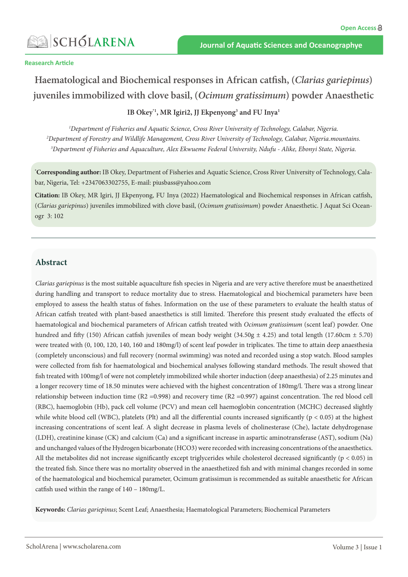#### **Reasearch Article**

# **Haematological and Biochemical responses in African catfish, (***Clarias gariepinus***) juveniles immobilized with clove basil, (***Ocimum gratissimum***) powder Anaesthetic**

**IB Okey\*1, MR Igiri2, JJ Ekpenyong3 and FU Inya1**

*1 Department of Fisheries and Aquatic Science, Cross River University of Technology, Calabar, Nigeria. 2 Department of Forestry and Wildlife Management, Cross River University of Technology, Calabar, Nigeria.mountains. 3 Department of Fisheries and Aquaculture, Alex Ekwueme Federal University, Ndufu - Alike, Ebonyi State, Nigeria.*

**\* Corresponding author:** IB Okey, Department of Fisheries and Aquatic Science, Cross River University of Technology, Calabar, Nigeria, Tel: +2347063302755, E-mail: piusbass@yahoo.com

**Citation:** IB Okey, MR Igiri, JJ Ekpenyong, FU Inya (2022) Haematological and Biochemical responses in African catfish, (*Clarias gariepinus*) juveniles immobilized with clove basil, (*Ocimum gratissimum*) powder Anaesthetic. J Aquat Sci Oceanogr 3: 102

## **Abstract**

*Clarias gariepinus* is the most suitable aquaculture fish species in Nigeria and are very active therefore must be anaesthetized during handling and transport to reduce mortality due to stress. Haematological and biochemical parameters have been employed to assess the health status of fishes. Information on the use of these parameters to evaluate the health status of African catfish treated with plant-based anaesthetics is still limited. Therefore this present study evaluated the effects of haematological and biochemical parameters of African catfish treated with *Ocimum gratissimum* (scent leaf) powder. One hundred and fifty (150) African catfish juveniles of mean body weight (34.50g  $\pm$  4.25) and total length (17.60cm  $\pm$  5.70) were treated with (0, 100, 120, 140, 160 and 180mg/l) of scent leaf powder in triplicates. The time to attain deep anaesthesia (completely unconscious) and full recovery (normal swimming) was noted and recorded using a stop watch. Blood samples were collected from fish for haematological and biochemical analyses following standard methods. The result showed that fish treated with 100mg/l of were not completely immobilized while shorter induction (deep anaesthesia) of 2.25 minutes and a longer recovery time of 18.50 minutes were achieved with the highest concentration of 180mg/l. There was a strong linear relationship between induction time (R2 =0.998) and recovery time (R2 =0.997) against concentration. The red blood cell (RBC), haemoglobin (Hb), pack cell volume (PCV) and mean cell haemoglobin concentration (MCHC) decreased slightly while white blood cell (WBC), platelets (Plt) and all the differential counts increased significantly ( $p < 0.05$ ) at the highest increasing concentrations of scent leaf. A slight decrease in plasma levels of cholinesterase (Che), lactate dehydrogenase (LDH), creatinine kinase (CK) and calcium (Ca) and a significant increase in aspartic aminotransferase (AST), sodium (Na) and unchanged values of the Hydrogen bicarbonate (HCO3) were recorded with increasing concentrations of the anaesthetics. All the metabolites did not increase significantly except triglycerides while cholesterol decreased significantly (p < 0.05) in the treated fish. Since there was no mortality observed in the anaesthetized fish and with minimal changes recorded in some of the haematological and biochemical parameter, Ocimum gratissimun is recommended as suitable anaesthetic for African catfish used within the range of 140 – 180mg/L.

**Keywords:** *Clarias gariepinus*; Scent Leaf; Anaesthesia; Haematological Parameters; Biochemical Parameters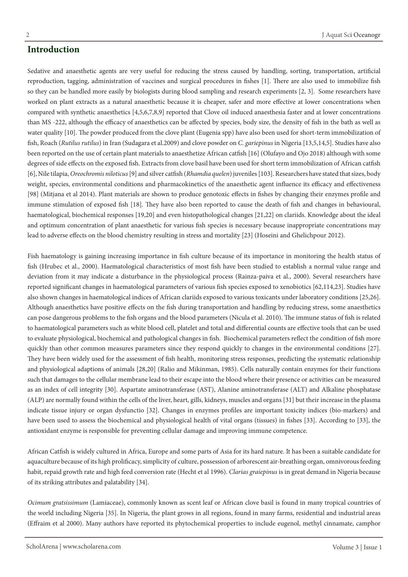## **Introduction**

Sedative and anaesthetic agents are very useful for reducing the stress caused by handling, sorting, transportation, artificial reproduction, tagging, administration of vaccines and surgical procedures in fishes [1]. There are also used to immobilize fish so they can be handled more easily by biologists during blood sampling and research experiments [2, 3]. Some researchers have worked on plant extracts as a natural anaesthetic because it is cheaper, safer and more effective at lower concentrations when compared with synthetic anaesthetics [4,5,6,7,8,9] reported that Clove oil induced anaesthesia faster and at lower concentrations than MS -222, although the efficacy of anaesthetics can be affected by species, body size, the density of fish in the bath as well as water quality [10]. The powder produced from the clove plant (Eugenia spp) have also been used for short-term immobilization of fish, Roach (*Rutilus rutilus*) in Iran (Sudagara et al.2009) and clove powder on *C. gariepinus* in Nigeria [13,5,14,5]. Studies have also been reported on the use of certain plant materials to anaesthetize African catfish [16] (Olufayo and Ojo 2018) although with some degrees of side effects on the exposed fish. Extracts from clove basil have been used for short term immobilization of African catfish [6], Nile tilapia, *Oreochromis niloticus* [9] and silver catfish (*Rhamdia quelen*) juveniles [103]. Researchers have stated that sizes, body weight, species, environmental conditions and pharmacokinetics of the anaesthetic agent influence its efficacy and effectiveness [98] (Mitjana et al 2014). Plant materials are shown to produce genotoxic effects in fishes by changing their enzymes profile and immune stimulation of exposed fish [18]. They have also been reported to cause the death of fish and changes in behavioural, haematological, biochemical responses [19,20] and even histopathological changes [21,22] on clariids. Knowledge about the ideal and optimum concentration of plant anaesthetic for various fish species is necessary because inappropriate concentrations may lead to adverse effects on the blood chemistry resulting in stress and mortality [23] (Hoseini and Ghelichpour 2012).

Fish haematology is gaining increasing importance in fish culture because of its importance in monitoring the health status of fish (Hrubec et al., 2000). Haematological characteristics of most fish have been studied to establish a normal value range and deviation from it may indicate a disturbance in the physiological process (Rainza-paiva et al., 2000). Several researchers have reported significant changes in haematological parameters of various fish species exposed to xenobiotics [62,114,23]. Studies have also shown changes in haematological indices of African clariids exposed to various toxicants under laboratory conditions [25,26]. Although anaesthetics have positive effects on the fish during transportation and handling by reducing stress, some anaesthetics can pose dangerous problems to the fish organs and the blood parameters (Nicula et al. 2010). The immune status of fish is related to haematological parameters such as white blood cell, platelet and total and differential counts are effective tools that can be used to evaluate physiological, biochemical and pathological changes in fish. Biochemical parameters reflect the condition of fish more quickly than other common measures parameters since they respond quickly to changes in the environmental conditions [27]. They have been widely used for the assessment of fish health, monitoring stress responses, predicting the systematic relationship and physiological adaptions of animals [28,20] (Ralio and Mikinman, 1985). Cells naturally contain enzymes for their functions such that damages to the cellular membrane lead to their escape into the blood where their presence or activities can be measured as an index of cell integrity [30]. Aspartate aminotransferase (AST), Alanine aminotransferase (ALT) and Alkaline phosphatase (ALP) are normally found within the cells of the liver, heart, gills, kidneys, muscles and organs [31] but their increase in the plasma indicate tissue injury or organ dysfunctio [32]. Changes in enzymes profiles are important toxicity indices (bio-markers) and have been used to assess the biochemical and physiological health of vital organs (tissues) in fishes [33]. According to [33], the antioxidant enzyme is responsible for preventing cellular damage and improving immune competence.

African Catfish is widely cultured in Africa, Europe and some parts of Asia for its hard nature. It has been a suitable candidate for aquaculture because of its high prolificacy, simplicity of culture, possession of arborescent air-breathing organ, omnivorous feeding habit, repaid growth rate and high feed conversion rate (Hecht et al 1996). *Clarias graiepinus* is in great demand in Nigeria because of its striking attributes and palatability [34].

*Ocimum gratsissimum* (Lamiaceae), commonly known as scent leaf or African clove basil is found in many tropical countries of the world including Nigeria [35]. In Nigeria, the plant grows in all regions, found in many farms, residential and industrial areas (Effraim et al 2000). Many authors have reported its phytochemical properties to include eugenol, methyl cinnamate, camphor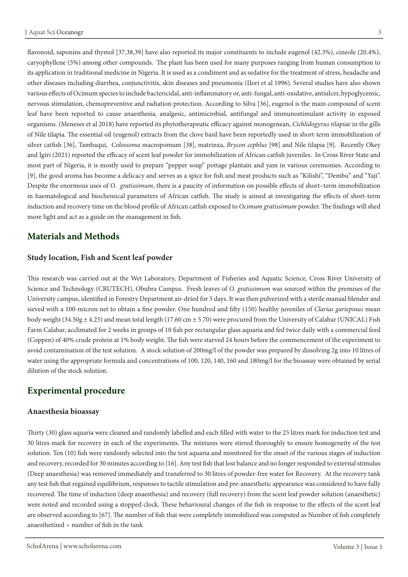flavonoid, saponins and thymol [37,38,39] have also reported its major constituents to include eugenol (42.3%), cineole (20.4%), caryophyllene (5%) among other compounds. The plant has been used for many purposes ranging from human consumption to its application in traditional medicine in Nigeria. It is used as a condiment and as sedative for the treatment of stress, headache and other diseases including diarrhea, conjunctivitis, skin diseases and pneumonia (IIori et al 1996). Several studies have also shown various effects of Ocimum species to include bactericidal, anti-inflammatory or, anti-fungal, anti-oxidative, antiulcer, hypoglycemic, nervous stimulation, chemopreventive and radiation protection. According to Silva [36], eugenol is the main compound of scent leaf have been reported to cause anaesthesia, analgesic, antimicrobial, antifungal and immunostimulant activity in exposed organisms. (Meneses et al 2018) have reported its phytotherapeutic efficacy against monogenean, *Cichlidogyrus tilapiae* in the gills of Nile tilapia. The essential oil (eugenol) extracts from the clove basil have been reportedly used in short-term immobilization of silver catfish [36], Tambaqui, *Colossoma* macropomum [38], matrinxa, *Brycon cephlus* [98] and Nile tilapia [9]. Recently Okey and Igiri (2021) reported the efficacy of scent leaf powder for immobilization of African catfish juveniles. In Cross River State and most part of Nigeria, it is mostly used to prepare "pepper soup" pottage plantain and yam in various ceremonies. According to [9], the good aroma has become a delicacy and serves as a spice for fish and meat products such as "Kilishi", "Dembu" and "Yaji". Despite the enormous uses of *O*. *gratissimum*, there is a paucity of information on possible effects of short–term immobilization in haematological and biochemical parameters of African catfish. The study is aimed at investigating the effects of short-term induction and recovery time on the blood profile of African catfish exposed to *Ocimum gratissimum* powder. The findings will shed more light and act as a guide on the management in fish.

## **Materials and Methods**

#### **Study location, Fish and Scent leaf powder**

This research was carried out at the Wet Laboratory, Department of Fisheries and Aquatic Science, Cross River University of Science and Technology (CRUTECH), Obubra Campus. Fresh leaves of *O. gratissimum* was sourced within the premises of the University campus, identified in Forestry Department air-dried for 5 days. It was then pulverized with a sterile manual blender and sieved with a 100-micron net to obtain a fine powder. One hundred and fifty (150) healthy juveniles of *Clarias gariepinus* mean body weight  $(34.50g \pm 4.25)$  and mean total length  $(17.60 \text{ cm} \pm 5.70)$  were procured from the University of Calabar (UNICAL) Fish Farm Calabar, acclimated for 2 weeks in groups of 10 fish per rectangular glass aquaria and fed twice daily with a commercial feed (Coppen) of 40% crude protein at 1% body weight. The fish were starved 24 hours before the commencement of the experiment to avoid contamination of the test solution. A stock solution of 200mg/l of the powder was prepared by dissolving 2g into 10 litres of water using the appropriate formula and concentrations of 100, 120, 140, 160 and 180mg/l for the bioassay were obtained by serial dilution of the stock solution.

# **Experimental procedure**

#### **Anaesthesia bioassay**

Thirty (30) glass aquaria were cleaned and randomly labelled and each filled with water to the 25 litres mark for induction test and 30 litres mark for recovery in each of the experiments. The mixtures were stirred thoroughly to ensure homogeneity of the test solution. Ten (10) fish were randomly selected into the test aquaria and monitored for the onset of the various stages of induction and recovery, recorded for 30 minutes according to [16]. Any test fish that lost balance and no longer responded to external stimulus (Deep anaesthesia) was removed immediately and transferred to 30 litres of powder-free water for Recovery. At the recovery tank any test fish that regained equilibrium, responses to tactile stimulation and pre-anaesthetic appearance was considered to have fully recovered. The time of induction (deep anaesthesia) and recovery (full recovery) from the scent leaf powder solution (anaesthetic) were noted and recorded using a stopped clock. These behavioural changes of the fish in response to the effects of the scent leaf are observed according to [67]. The number of fish that were completely immobilized was computed as Number of fish completely anaesthetized ÷ number of fish in the tank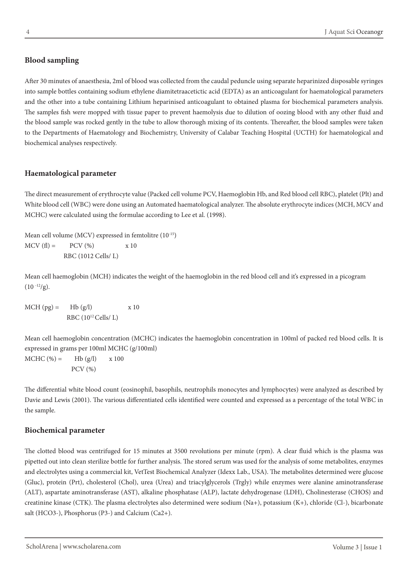## **Blood sampling**

After 30 minutes of anaesthesia, 2ml of blood was collected from the caudal peduncle using separate heparinized disposable syringes into sample bottles containing sodium ethylene diamitetraacetictic acid (EDTA) as an anticoagulant for haematological parameters and the other into a tube containing Lithium heparinised anticoagulant to obtained plasma for biochemical parameters analysis. The samples fish were mopped with tissue paper to prevent haemolysis due to dilution of oozing blood with any other fluid and the blood sample was rocked gently in the tube to allow thorough mixing of its contents. Thereafter, the blood samples were taken to the Departments of Haematology and Biochemistry, University of Calabar Teaching Hospital (UCTH) for haematological and biochemical analyses respectively.

## **Haematological parameter**

The direct measurement of erythrocyte value (Packed cell volume PCV, Haemoglobin Hb, and Red blood cell RBC), platelet (Plt) and White blood cell (WBC) were done using an Automated haematological analyzer. The absolute erythrocyte indices (MCH, MCV and MCHC) were calculated using the formulae according to Lee et al. (1998).

Mean cell volume (MCV) expressed in femtolitre (10-15)  $MCV$  (f) = PCV (%)  $X 10$ RBC (1012 Cells/ L)

Mean cell haemoglobin (MCH) indicates the weight of the haemoglobin in the red blood cell and it's expressed in a picogram  $(10^{-12}/g)$ .

 $MCH (pg) = Hb (g/l)$  x 10 RBC (1012 Cells/ L)

Mean cell haemoglobin concentration (MCHC) indicates the haemoglobin concentration in 100ml of packed red blood cells. It is expressed in grams per 100ml MCHC (g/100ml)  $MCHC$  (%) = Hb (g/l) x 100 PCV (%)

The differential white blood count (eosinophil, basophils, neutrophils monocytes and lymphocytes) were analyzed as described by Davie and Lewis (2001). The various differentiated cells identified were counted and expressed as a percentage of the total WBC in the sample.

### **Biochemical parameter**

The clotted blood was centrifuged for 15 minutes at 3500 revolutions per minute (rpm). A clear fluid which is the plasma was pipetted out into clean sterilize bottle for further analysis. The stored serum was used for the analysis of some metabolites, enzymes and electrolytes using a commercial kit, VetTest Biochemical Analyzer (Idexx Lab., USA). The metabolites determined were glucose (Gluc), protein (Prt), cholesterol (Chol), urea (Urea) and triacylglycerols (Trgly) while enzymes were alanine aminotransferase (ALT), aspartate aminotransferase (AST), alkaline phosphatase (ALP), lactate dehydrogenase (LDH), Cholinesterase (CHOS) and creatinine kinase (CTK). The plasma electrolytes also determined were sodium (Na+), potassium (K+), chloride (Cl-), bicarbonate salt (HCO3-), Phosphorus (P3-) and Calcium (Ca2+).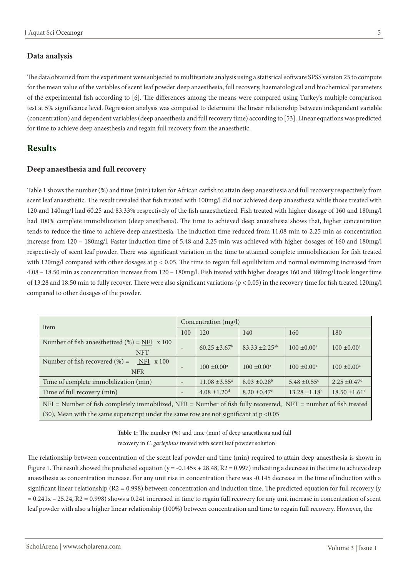### **Data analysis**

The data obtained from the experiment were subjected to multivariate analysis using a statistical software SPSS version 25 to compute for the mean value of the variables of scent leaf powder deep anaesthesia, full recovery, haematological and biochemical parameters of the experimental fish according to [6]. The differences among the means were compared using Turkey's multiple comparison test at 5% significance level. Regression analysis was computed to determine the linear relationship between independent variable (concentration) and dependent variables (deep anaesthesia and full recovery time) according to [53]. Linear equations was predicted for time to achieve deep anaesthesia and regain full recovery from the anaesthetic.

## **Results**

### **Deep anaesthesia and full recovery**

Table 1 shows the number (%) and time (min) taken for African catfish to attain deep anaesthesia and full recovery respectively from scent leaf anaesthetic. The result revealed that fish treated with 100mg/l did not achieved deep anaesthesia while those treated with 120 and 140mg/l had 60.25 and 83.33% respectively of the fish anaesthetized. Fish treated with higher dosage of 160 and 180mg/l had 100% complete immobilization (deep anesthesia). The time to achieved deep anaesthesia shows that, higher concentration tends to reduce the time to achieve deep anaesthesia. The induction time reduced from 11.08 min to 2.25 min as concentration increase from 120 – 180mg/l. Faster induction time of 5.48 and 2.25 min was achieved with higher dosages of 160 and 180mg/l respectively of scent leaf powder. There was significant variation in the time to attained complete immobilization for fish treated with 120mg/l compared with other dosages at  $p < 0.05$ . The time to regain full equilibrium and normal swimming increased from 4.08 – 18.50 min as concentration increase from 120 – 180mg/l. Fish treated with higher dosages 160 and 180mg/l took longer time of 13.28 and 18.50 min to fully recover. There were also significant variations (p < 0.05) in the recovery time for fish treated 120mg/l compared to other dosages of the powder.

| Item                                                                                                                  |                          | Concentration (mg/l)         |                                |                              |                               |  |
|-----------------------------------------------------------------------------------------------------------------------|--------------------------|------------------------------|--------------------------------|------------------------------|-------------------------------|--|
|                                                                                                                       |                          | 120                          | 140                            | 160                          | 180                           |  |
| Number of fish anaesthetized $(\%) = \text{NFI} \times 100$<br><b>NFT</b>                                             | $\overline{\phantom{0}}$ | $60.25 \pm 3.67^{\rm b}$     | $83.33 \pm 2.25$ <sup>ab</sup> | $100 \pm 0.00^{\text{a}}$    | $100 \pm 0.00^{\text{a}}$     |  |
| Number of fish recovered $(\% )$ =<br>$NFI \times 100$<br><b>NFR</b>                                                  | $\overline{\phantom{a}}$ | $100 \pm 0.00^{\circ}$       | $100 \pm 0.00^{\circ}$         | $100 \pm 0.00^a$             | $100 \pm 0.00^{\text{a}}$     |  |
| Time of complete immobilization (min)                                                                                 |                          | $11.08 \pm 3.55^{\text{a}}$  | $8.03 \pm 0.28$                | $5.48 \pm 0.55$ <sup>c</sup> | $2.25 \pm 0.47$ <sup>d</sup>  |  |
| Time of full recovery (min)                                                                                           | $\qquad \qquad$          | $4.08 \pm 1.20$ <sup>d</sup> | $8.20 \pm 0.47$ °              | $13.28 \pm 1.18^b$           | $18.50 \pm 1.61$ <sup>a</sup> |  |
| $NFI =$ Number of fish completely immobilized, $NFR =$ Number of fish fully recovered, $NFT =$ number of fish treated |                          |                              |                                |                              |                               |  |
| $(30)$ , Mean with the same superscript under the same row are not significant at $p < 0.05$                          |                          |                              |                                |                              |                               |  |

**Table 1:** The number (%) and time (min) of deep anaesthesia and full recovery in *C. gariepinus* treated with scent leaf powder solution

The relationship between concentration of the scent leaf powder and time (min) required to attain deep anaesthesia is shown in Figure 1. The result showed the predicted equation (y = -0.145x + 28.48, R2 = 0.997) indicating a decrease in the time to achieve deep anaesthesia as concentration increase. For any unit rise in concentration there was -0.145 decrease in the time of induction with a significant linear relationship ( $R2 = 0.998$ ) between concentration and induction time. The predicted equation for full recovery (y = 0.241x – 25.24, R2 = 0.998) shows a 0.241 increased in time to regain full recovery for any unit increase in concentration of scent leaf powder with also a higher linear relationship (100%) between concentration and time to regain full recovery. However, the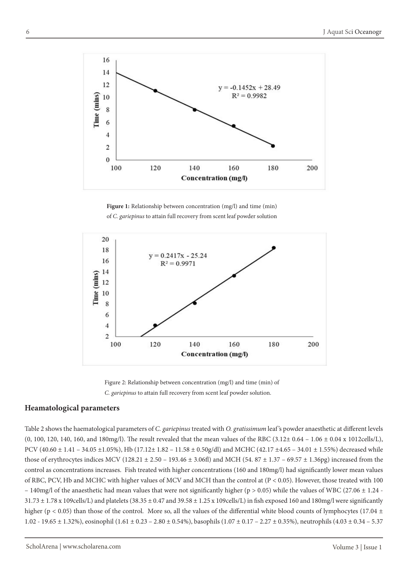

**Figure 1:** Relationship between concentration (mg/l) and time (min) of *C. gariepinus* to attain full recovery from scent leaf powder solution



Figure 2: Relationship between concentration (mg/l) and time (min) of *C. gariepinus* to attain full recovery from scent leaf powder solution.

### **Heamatological parameters**

Table 2 shows the haematological parameters of *C. gariepinus* treated with *O. gratissimum* leaf 's powder anaesthetic at different levels (0, 100, 120, 140, 160, and 180mg/l). The result revealed that the mean values of the RBC  $(3.12 \pm 0.64 - 1.06 \pm 0.04 \times 1012 \text{ cells/L})$ , PCV (40.60 ± 1.41 – 34.05 ±1.05%), Hb (17.12± 1.82 – 11.58 ± 0.50g/dl) and MCHC (42.17 ±4.65 – 34.01 ± 1.55%) decreased while those of erythrocytes indices MCV (128.21  $\pm$  2.50 – 193.46  $\pm$  3.06fl) and MCH (54. 87  $\pm$  1.37 – 69.57  $\pm$  1.36pg) increased from the control as concentrations increases. Fish treated with higher concentrations (160 and 180mg/l) had significantly lower mean values of RBC, PCV, Hb and MCHC with higher values of MCV and MCH than the control at (P < 0.05). However, those treated with 100 – 140mg/l of the anaesthetic had mean values that were not significantly higher (p > 0.05) while the values of WBC (27.06  $\pm$  1.24 - $31.73 \pm 1.78$  x 109cells/L) and platelets (38.35  $\pm$  0.47 and 39.58  $\pm$  1.25 x 109cells/L) in fish exposed 160 and 180mg/l were significantly higher (p < 0.05) than those of the control. More so, all the values of the differential white blood counts of lymphocytes (17.04  $\pm$ 1.02 - 19.65  $\pm$  1.32%), eosinophil (1.61  $\pm$  0.23 - 2.80  $\pm$  0.54%), basophils (1.07  $\pm$  0.17 - 2.27  $\pm$  0.35%), neutrophils (4.03  $\pm$  0.34 - 5.37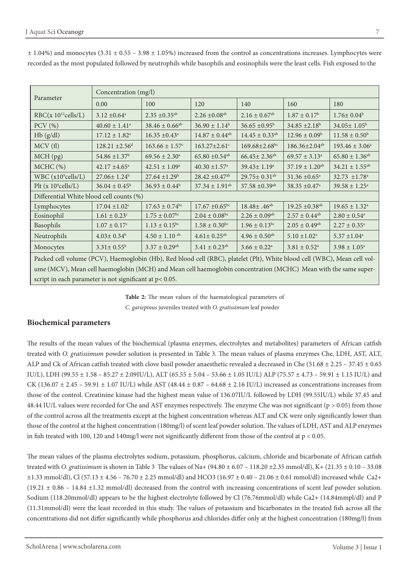| Parameter                                                                                                                | Concentration (mg/l)           |                                |                                |                                |                                |                               |  |
|--------------------------------------------------------------------------------------------------------------------------|--------------------------------|--------------------------------|--------------------------------|--------------------------------|--------------------------------|-------------------------------|--|
|                                                                                                                          | 0.00                           | 100                            | 120                            | 140                            | 160                            | 180                           |  |
| $RBC(x 10^{12} \text{cells/L})$                                                                                          | $3.12 \pm 0.64^a$              | $2.35 \pm 0.35$ <sup>ab</sup>  | $2.26 \pm 0.08$ <sup>ab</sup>  | $2.16 \pm 0.67$ <sup>ab</sup>  | $1.87 \pm 0.17^{\rm b}$        | $1.76 \pm 0.04^b$             |  |
| $PCV$ $(\%)$                                                                                                             | $40.60 \pm 1.41$ <sup>a</sup>  | $38.46 \pm 0.66$ <sup>ab</sup> | $36.90 \pm 1.14^b$             | $36.65 \pm 0.95^{\rm b}$       | $34.85 \pm 2.18^b$             | $34.05 \pm 1.05^{\rm b}$      |  |
| Hb(g/dl)                                                                                                                 | $17.12 \pm 1.82^a$             | $16.35 \pm 0.43$ <sup>a</sup>  | $14.87 \pm 0.44$ <sup>ab</sup> | $14.45 \pm 0.33$ <sup>ab</sup> | $12.96 \pm 0.09^b$             | $11.58 \pm 0.50^b$            |  |
| MCV(f)                                                                                                                   | $128.21 \pm 2.56$ <sup>d</sup> | $163.66 \pm 1.57$ <sup>c</sup> | $163.27 \pm 2.61$ c            | $169.68 \pm 2.68$ bc           | 186.36±2.04 <sup>ab</sup>      | $193.46 \pm 3.06^a$           |  |
| MCH (pg)                                                                                                                 | $54.86 \pm 1.37$ <sup>b</sup>  | $69.56 \pm 2.30^a$             | $65.80 \pm 0.54$ <sup>ab</sup> | $66.45 \pm 2.36$ <sup>ab</sup> | $69.57 \pm 3.13^a$             | $65.80 \pm 1.36^{ab}$         |  |
| MCHC (%)                                                                                                                 | $42.17 \pm 4.65$ <sup>a</sup>  | $42.51 \pm 1.09^a$             | $40.30 \pm 1.57$ <sup>a</sup>  | 39.43±1.19 <sup>a</sup>        | $37.19 \pm 1.20$ <sup>ab</sup> | $34.21 \pm 1.55^{ab}$         |  |
| $WBC(x10^9) cells/L)$                                                                                                    | $27.06 \pm 1.24^b$             | $27.64 \pm 1.29^b$             | $28.42 \pm 0.47$ <sup>ab</sup> | $29.75 \pm 0.31$ <sup>ab</sup> | $31.36 \pm 0.65$ <sup>a</sup>  | 32.73 $\pm$ 1.78 <sup>a</sup> |  |
| Plt ( $x 10^9$ cells/L)                                                                                                  | $36.04 \pm 0.45^b$             | $36.93 \pm 0.44^b$             | $37.34 \pm 1.91$ <sup>ab</sup> | $37.58 \pm 0.39$ <sup>ab</sup> | $38.35 \pm 0.47$ <sup>a</sup>  | $39.58 \pm 1.25^{\text{a}}$   |  |
| Differential White blood cell counts (%)                                                                                 |                                |                                |                                |                                |                                |                               |  |
| Lymphocytes                                                                                                              | $17.04 \pm 1.02$ <sup>c</sup>  | $17.63 \pm 0.74$ <sup>bc</sup> | $17.67 \pm 0.65$ bc            | $18.48 \pm .46^{ab}$           | $19.25 \pm 0.38$ <sup>ab</sup> | $19.65 \pm 1.32^a$            |  |
| Eosinophil                                                                                                               | $1.61 \pm 0.23$ <sup>c</sup>   | $1.75 \pm 0.07$ <sup>bc</sup>  | $2.04 \pm 0.08$ bc             | $2.26 \pm 0.09$ <sup>ab</sup>  | $2.57 \pm 0.44$ <sup>ab</sup>  | $2.80 \pm 0.54$ <sup>a</sup>  |  |
| Basophils                                                                                                                | $1.07\pm0.17^{\rm c}$          | $1.13 \pm 0.15^{bc}$           | $1.58 \pm 0.30$ <sup>bc</sup>  | $1.96 \pm 0.13$ bc             | $2.05 \pm 0.49$ <sup>ab</sup>  | $2.27 \pm 0.35^{\circ}$       |  |
| Neutrophils                                                                                                              | $4.03 \pm 0.34^b$              | $4.50 \pm 1.10$ ab             | $4.61 \pm 0.25$ <sup>ab</sup>  | $4.96 \pm 0.50$ <sup>ab</sup>  | $5.10 \pm 1.02^a$              | $5.37 \pm 1.04^a$             |  |
| Monocytes                                                                                                                | $3.31 \pm 0.55^b$              | $3.37 \pm 0.29$ <sup>ab</sup>  | $3.41 \pm 0.23$ <sup>ab</sup>  | $3.66\pm0.22^{\rm a}$          | $3.81 \pm 0.52^a$              | $3.98 \pm 1.05^{\text{a}}$    |  |
| Packed cell volume (PCV), Haemoglobin (Hb), Red blood cell (RBC), platelet (Plt), White blood cell (WBC), Mean cell vol- |                                |                                |                                |                                |                                |                               |  |
| ume (MCV), Mean cell haemoglobin (MCH) and Mean cell haemoglobin concentration (MCHC) Mean with the same super-          |                                |                                |                                |                                |                                |                               |  |

 $\pm$  1.04%) and monocytes (3.31  $\pm$  0.55 – 3.98  $\pm$  1.05%) increased from the control as concentrations increases. Lymphocytes were recorded as the most populated followed by neutrophils while basophils and eosinophils were the least cells. Fish exposed to the

> **Table 2:** The mean values of the haematological parameters of *C. gariepinus* juveniles treated with *O. gratissimum* leaf powder

### **Biochemical parameters**

script in each parameter is not significant at p< 0.05.

The results of the mean values of the biochemical (plasma enzymes, electrolytes and metabolites) parameters of African catfish treated with *O. gratissimum* powder solution is presented in Table 3. The mean values of plasma enzymes Che, LDH, AST, ALT, ALP and Ck of African catfish treated with clove basil powder anaesthetic revealed a decreased in Che (51.68 ± 2.25 – 37.45 ± 0.65 IU/L), LDH (99.55 ± 1.58 – 85.27 ± 2.09IU/L), ALT (65.55 ± 5.04 – 53.66 ± 1.05 IU/L) ALP (75.57 ± 4.73 – 59.91 ± 1.15 IU/L) and CK (136.07  $\pm$  2.45 – 59.91  $\pm$  1.07 IU/L) while AST (48.44  $\pm$  0.87 – 64.68  $\pm$  2.16 IU/L) increased as concentrations increases from those of the control. Creatinine kinase had the highest mean value of 136.07IU/L followed by LDH (99.55IU/L) while 37.45 and 48.44 IU/L values were recorded for Che and AST enzymes respectively. The enzyme Che was not significant ( $p > 0.05$ ) from those of the control across all the treatments except at the highest concentration whereas ALT and CK were only significantly lower than those of the control at the highest concentration (180mg/l) of scent leaf powder solution. The values of LDH, AST and ALP enzymes in fish treated with 100, 120 and 140mg/l were not significantly different from those of the control at  $p < 0.05$ .

The mean values of the plasma electrolytes sodium, potassium, phosphorus, calcium, chloride and bicarbonate of African catfish treated with *O. gratissimum* is shown in Table 3 The values of Na+ (94.80 ± 6.07 – 118.20 ±2.35 mmol/dl), K+ (21.35 ± 0.10 – 33.08  $\pm 1.33$  mmol/dl), Cl (57.13  $\pm$  4.56 – 76.70  $\pm$  2.25 mmol/dl) and HCO3 (16.97  $\pm$  0.40 – 21.06  $\pm$  0.61 mmol/dl) increased while Ca2+  $(19.21 \pm 0.86 - 14.84 \pm 1.32 \text{ mmol/dl})$  decreased from the control with increasing concentrations of scent leaf powder solution. Sodium (118.20mmol/dl) appears to be the highest electrolyte followed by Cl (76.76mmol/dl) while Ca2+ (14.84mmpl/dl) and P (11.31mmol/dl) were the least recorded in this study. The values of potassium and bicarbonates in the treated fish across all the concentrations did not differ significantly while phosphorus and chlorides differ only at the highest concentration (180mg/l) from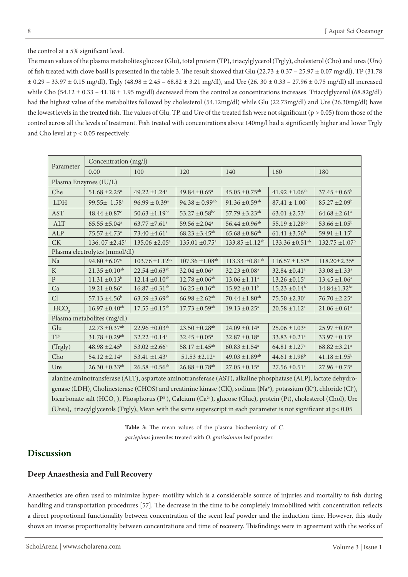the control at a 5% significant level.

The mean values of the plasma metabolites glucose (Glu), total protein (TP), triacylglycerol (Trgly), cholesterol (Cho) and urea (Ure) of fish treated with clove basil is presented in the table 3. The result showed that Glu  $(22.73 \pm 0.37 - 25.97 \pm 0.07 \text{ mg/dl})$ , TP  $(31.78$  $\pm$  0.29 – 33.97  $\pm$  0.15 mg/dl), Trgly (48.98  $\pm$  2.45 – 68.82  $\pm$  3.21 mg/dl), and Ure (26. 30  $\pm$  0.33 – 27.96  $\pm$  0.75 mg/dl) all increased while Cho  $(54.12 \pm 0.33 - 41.18 \pm 1.95 \text{ mg/dl})$  decreased from the control as concentrations increases. Triacylglycerol  $(68.82g/dl)$ had the highest value of the metabolites followed by cholesterol (54.12mg/dl) while Glu (22.73mg/dl) and Ure (26.30mg/dl) have the lowest levels in the treated fish. The values of Glu, TP, and Ure of the treated fish were not significant (p > 0.05) from those of the control across all the levels of treatment. Fish treated with concentrations above 140mg/l had a significantly higher and lower Trgly and Cho level at p < 0.05 respectively.

| Parameter                                                                                                                                            | Concentration (mg/l)                                                                                                                                    |                                 |                                 |                                 |                                 |                                |  |  |  |
|------------------------------------------------------------------------------------------------------------------------------------------------------|---------------------------------------------------------------------------------------------------------------------------------------------------------|---------------------------------|---------------------------------|---------------------------------|---------------------------------|--------------------------------|--|--|--|
|                                                                                                                                                      | 0.00                                                                                                                                                    | 100                             | 120                             | 140                             | 160                             | 180                            |  |  |  |
| Plasma Enzymes (IU/L)                                                                                                                                |                                                                                                                                                         |                                 |                                 |                                 |                                 |                                |  |  |  |
| Che                                                                                                                                                  | $51.68 \pm 2.25$ <sup>a</sup>                                                                                                                           | $49.22 \pm 1.24$ <sup>a</sup>   | 49.84 $\pm$ 0.65 <sup>a</sup>   | $45.05 \pm 0.75$ <sup>ab</sup>  | $41.92 \pm 1.06^{ab}$           | $37.45 \pm 0.65^{\circ}$       |  |  |  |
| <b>LDH</b>                                                                                                                                           | 99.55± 1.58 <sup>a</sup>                                                                                                                                | $96.99 \pm 0.39^{\text{a}}$     | $94.38 \pm 0.99$ <sup>ab</sup>  | $91.36 \pm 0.59$ <sup>ab</sup>  | $87.41 \pm 1.00^b$              | $85.27 \pm 2.09^b$             |  |  |  |
| <b>AST</b>                                                                                                                                           | $48.44 \pm 0.87$ <sup>c</sup>                                                                                                                           | $50.63 \pm 1.19$ bc             | 53.27 $\pm$ 0.58 <sup>bc</sup>  | 57.79 $\pm$ 3.23 <sup>ab</sup>  | $63.01 \pm 2.53$ <sup>a</sup>   | $64.68 \pm 2.61$ <sup>a</sup>  |  |  |  |
| <b>ALT</b>                                                                                                                                           | $65.55 \pm 5.04$ <sup>a</sup>                                                                                                                           | $63.77 \pm 7.61$ <sup>a</sup>   | 59.56 $\pm 2.04$ <sup>a</sup>   | $56.44 \pm 0.96$ <sup>ab</sup>  | $55.19 \pm 1.28$ <sup>ab</sup>  | 53.66 $\pm 1.05^{\rm b}$       |  |  |  |
| <b>ALP</b>                                                                                                                                           | 75.57 ±4.73 <sup>a</sup>                                                                                                                                | 73.40 ±4.61 <sup>a</sup>        | $68.23 \pm 3.45$ <sup>ab</sup>  | $65.68 \pm 0.86$ <sup>ab</sup>  | $61.41 \pm 3.56^b$              | 59.91 $\pm$ 1.15 <sup>b</sup>  |  |  |  |
| <b>CK</b>                                                                                                                                            | 136.07 $\pm 2.45^{\text{a}}$                                                                                                                            | $135.06 \pm 2.05^{\text{a}}$    | $135.01 \pm 0.75$ <sup>a</sup>  | $133.85 \pm 1.12^{ab}$          | $133.36 \pm 0.51$ <sup>ab</sup> | $132.75 \pm 1.07$ <sup>b</sup> |  |  |  |
| Plasma electrolytes (mmol/dl)                                                                                                                        |                                                                                                                                                         |                                 |                                 |                                 |                                 |                                |  |  |  |
| Na                                                                                                                                                   | $94.80 \pm 6.07$ <sup>c</sup>                                                                                                                           | $103.76 \pm 1.12$ <sup>bc</sup> | $107.36 \pm 1.08$ <sup>ab</sup> | $113.33 \pm 0.81$ <sup>ab</sup> | $116.57 \pm 1.57$ <sup>a</sup>  | 118.20±2.35 <sup>a</sup>       |  |  |  |
| K                                                                                                                                                    | $21.35 \pm 0.10^{ab}$                                                                                                                                   | $22.54 \pm 0.63$ <sup>ab</sup>  | $32.04 \pm 0.06^a$              | $32.23 \pm 0.08^a$              | $32.84 \pm 0.41$ <sup>a</sup>   | $33.08 \pm 1.33$ <sup>a</sup>  |  |  |  |
| ${\bf P}$                                                                                                                                            | $11.31 \pm 0.13^b$                                                                                                                                      | $12.14 \pm 0.10^{ab}$           | $12.78 \pm 0.06^{ab}$           | $13.06 \pm 1.11$ <sup>a</sup>   | $13.26 \pm 0.15^a$              | $13.45 \pm 1.06^a$             |  |  |  |
| Ca                                                                                                                                                   | $19.21 \pm 0.86^a$                                                                                                                                      | $16.87 \pm 0.31$ <sup>ab</sup>  | $16.25 \pm 0.16^{ab}$           | $15.92 \pm 0.11^b$              | $15.23 \pm 0.14^b$              | $14.84 \pm 1.32$ bc            |  |  |  |
| Cl                                                                                                                                                   | $57.13 \pm 4.56^b$                                                                                                                                      | $63.59 \pm 3.69$ <sup>ab</sup>  | $66.98 \pm 2.62$ <sup>ab</sup>  | $70.44 \pm 1.80^{ab}$           | $75.50 \pm 2.30^a$              | $76.70 \pm 2.25$ <sup>a</sup>  |  |  |  |
| HCO <sub>3</sub>                                                                                                                                     | $16.97 \pm 0.40$ <sup>ab</sup>                                                                                                                          | $17.55 \pm 0.15^{ab}$           | $17.73 \pm 0.59$ <sup>ab</sup>  | $19.13 \pm 0.25$ <sup>a</sup>   | $20.58 \pm 1.12^a$              | $21.06 \pm 0.61$ <sup>a</sup>  |  |  |  |
| Plasma metabolites (mg/dl)                                                                                                                           |                                                                                                                                                         |                                 |                                 |                                 |                                 |                                |  |  |  |
| Glu                                                                                                                                                  | $22.73 \pm 0.37$ <sup>ab</sup>                                                                                                                          | $22.96 \pm 0.03^{ab}$           | $23.50 \pm 0.28$ <sup>ab</sup>  | $24.09 \pm 0.14$ <sup>a</sup>   | $25.06 \pm 1.03$ <sup>a</sup>   | $25.97 \pm 0.07$ <sup>a</sup>  |  |  |  |
| TP                                                                                                                                                   | $31.78 \pm 0.29$ <sup>ab</sup>                                                                                                                          | $32.22 \pm 0.14$ <sup>a</sup>   | $32.45 \pm 0.05^{\text{a}}$     | $32.87 \pm 0.18$ <sup>a</sup>   | $33.83 \pm 0.21$ <sup>a</sup>   | 33.97 $\pm$ 0.15 <sup>a</sup>  |  |  |  |
| (Trgly)                                                                                                                                              | $48.98 \pm 2.45^b$                                                                                                                                      | 53.02 $\pm 2.66^{\circ}$        | $58.17 \pm 1.45^{ab}$           | $60.83 \pm 1.54$ <sup>a</sup>   | $64.81 \pm 1.27$ <sup>a</sup>   | $68.82 \pm 3.21$ <sup>a</sup>  |  |  |  |
| Cho                                                                                                                                                  | $54.12 \pm 2.14$ <sup>a</sup>                                                                                                                           | $53.41 \pm 1.43$ <sup>a</sup>   | $51.53 \pm 2.12$ <sup>a</sup>   | $49.03 \pm 1.89$ <sup>ab</sup>  | $44.61 \pm 1.98$ <sup>b</sup>   | $41.18 \pm 1.95^b$             |  |  |  |
| Ure                                                                                                                                                  | $26.30 \pm 0.33$ <sup>ab</sup>                                                                                                                          | $26.58 \pm 0.56$ <sup>ab</sup>  | $26.88 \pm 0.78$ <sup>ab</sup>  | $27.05 \pm 0.15^{\text{a}}$     | $27.56 \pm 0.51$ <sup>a</sup>   | $27.96 \pm 0.75$ <sup>a</sup>  |  |  |  |
| alanine aminotransferase (ALT), aspartate aminotransferase (AST), alkaline phosphatase (ALP), lactate dehydro-                                       |                                                                                                                                                         |                                 |                                 |                                 |                                 |                                |  |  |  |
| genase (LDH), Cholinesterase (CHOS) and creatinine kinase (CK), sodium (Na <sup>+</sup> ), potassium (K <sup>+</sup> ), chloride (Cl <sup>-</sup> ), |                                                                                                                                                         |                                 |                                 |                                 |                                 |                                |  |  |  |
|                                                                                                                                                      | bicarbonate salt (HCO <sub>3</sub> ), Phosphorus (P <sup>3-</sup> ), Calcium (Ca <sup>2+</sup> ), glucose (Gluc), protein (Pt), cholesterol (Chol), Ure |                                 |                                 |                                 |                                 |                                |  |  |  |

**Table 3:** The mean values of the plasma biochemistry of *C. gariepinus* juveniles treated with *O. gratissimum* leaf powder.

(Urea), triacylglycerols (Trgly), Mean with the same superscript in each parameter is not significant at p< 0.05

# **Discussion**

## **Deep Anaesthesia and Full Recovery**

Anaesthetics are often used to minimize hyper- motility which is a considerable source of injuries and mortality to fish during handling and transportation procedures [57]. The decrease in the time to be completely immobilized with concentration reflects a direct proportional functionality between concentration of the scent leaf powder and the induction time. However, this study shows an inverse proportionality between concentrations and time of recovery. Thisfindings were in agreement with the works of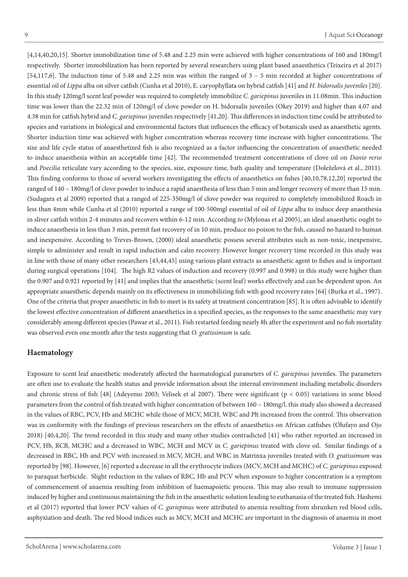[4,14,40,20,15]. Shorter immobilization time of 5.48 and 2.25 min were achieved with higher concentrations of 160 and 180mg/l respectively. Shorter immobilization has been reported by several researchers using plant based anaesthetics (Teixeira et al 2017) [54,117,6]. The induction time of 5.48 and 2.25 min was within the ranged of 3 – 5 min recorded at higher concentrations of essential oil of *Lippa* alba on silver catfish (Cunha et al 2010), E. caryophyllata on hybrid catfish [41] and *H*. *bidorsalis juveniles* [20]. In this study 120mg/l scent leaf powder was required to completely immobilize *C. gariepinus* juveniles in 11.08min. This induction time was lower than the 22.32 min of 120mg/l of clove powder on H. bidorsalis juveniles (Okey 2019) and higher than 4.07 and 4.38 min for catfish hybrid and *C. gariepinus* juveniles respectively [41,20]. This differences in induction time could be attributed to species and variations in biological and environmental factors that influences the efficacy of botanicals used as anaesthetic agents. Shorter induction time was achieved with higher concentration whereas recovery time increase with higher concentrations. The size and life cycle status of anaesthetized fish is also recognized as a factor influencing the concentration of anaesthetic needed to induce anaesthesia within an acceptable time [42]. The recommended treatment concentrations of clove oil on *Danio rerio* and *Poecilia* reticulate vary according to the species, size, exposure time, bath quality and temperature (Doleželová et al., 2011). This finding conforms to those of several workers investigating the effects of anaesthetics on fishes [40,10,78,12,20] reported the ranged of 140 – 180mg/l of clove powder to induce a rapid anaesthesia of less than 5 min and longer recovery of more than 15 min. (Sudagara et al 2009) reported that a ranged of 225-350mg/l of clove powder was required to completely immobilized Roach in less than 4mm while Cunha et al (2010) reported a range of 100-500mgl essential of oil of *Lippa* alba to induce deep anaesthesia in sliver catfish within 2-4 minutes and recovers within 6-12 min. According *to* (Mylonas et al 2005), an ideal anaesthetic ought to induce anaesthesia in less than 3 min, permit fast recovery of in 10 min, produce no poison to the fish, caused no hazard to human and inexpensive. According to Treves-Brown, (2000) ideal anaesthetic possess several attributes such as non-toxic, inexpensive, simple to administer and result in rapid induction and calm recovery. However longer recovery time recorded in this study was in line with those of many other researchers [43,44,45] using various plant extracts as anaesthetic agent to fishes and is important during surgical operations [104]. The high R2 values of induction and recovery (0.997 and 0.998) in this study were higher than the 0.907 and 0.921 reported by [41] and implies that the anaesthetic (scent leaf) works effectively and can be dependent upon. An appropriate anaesthetic depends mainly on its effectiveness in immobilizing fish with good recovery rates [64] (Burka et al., 1997). One of the criteria that proper anaesthetic in fish to meet is its safety at treatment concentration [85]. It is often advisable to identify the lowest effective concentration of different anaesthetics in a specified species, as the responses to the same anaesthetic may vary considerably among different species (Pawar et al., 2011). Fish restarted feeding nearly 8h after the experiment and no fish mortality was observed even one month after the tests suggesting that *O. gratissimum* is safe.

#### **Haematology**

Exposure to scent leaf anaesthetic moderately affected the haematological parameters of *C. gariepinus* juveniles. The parameters are often use to evaluate the health status and provide information about the internal environment including metabolic disorders and chronic stress of fish [48] (Adeyemo 2003; Velisek et al 2007). There were significant (p < 0.05) variations in some blood parameters from the control of fish treated with higher concentration of between 160 – 180mg/l. this study also showed a decreased in the values of RBC, PCV, Hb and MCHC while those of MCV, MCH, WBC and Plt increased from the control. This observation was in conformity with the findings of previous researchers on the effects of anaesthetics on African catfishes (Olufayo and Ojo 2018) [40,4,20]. The trend recorded in this study and many other studies contradicted [41] who rather reported an increased in PCV, Hb, RCB, MCHC and a decreased in WBC, MCH and MCV in *C. gariepinus* treated with clove oil. Similar findings of a decreased in RBC, Hb and PCV with increased in MCV, MCH, and WBC in Matrinxa juveniles treated with *O. gratissimum* was reported by [98]. However, [6] reported a decrease in all the erythrocyte indices (MCV, MCH and MCHC) of *C. gariepinus* exposed to paraquat herbicide. Slight reduction in the values of RBC, Hb and PCV when exposure to higher concentration is a symptom of commencement of anaemia resulting from inhibition of haemapoietic process. This may also result to immune suppression induced by higher and continuous maintaining the fish in the anaesthetic solution leading to euthanasia of the treated fish. Hashemi et al (2017) reported that lower PCV values of *C. gariepinus* were attributed to anemia resulting from shrunken red blood cells, asphyxiation and death. The red blood indices such as MCV, MCH and MCHC are important in the diagnosis of anaemia in most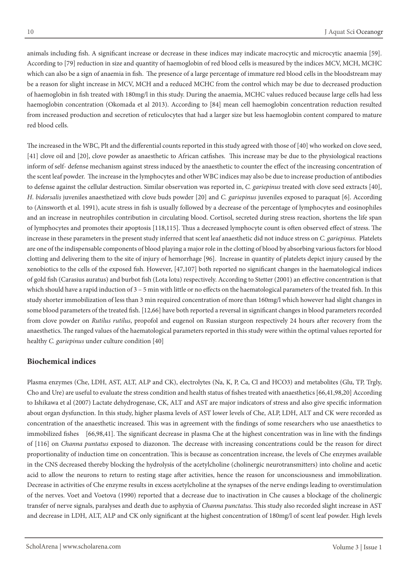animals including fish. A significant increase or decrease in these indices may indicate macrocytic and microcytic anaemia [59]. According to [79] reduction in size and quantity of haemoglobin of red blood cells is measured by the indices MCV, MCH, MCHC which can also be a sign of anaemia in fish. The presence of a large percentage of immature red blood cells in the bloodstream may be a reason for slight increase in MCV, MCH and a reduced MCHC from the control which may be due to decreased production of haemoglobin in fish treated with 180mg/l in this study. During the anaemia, MCHC values reduced because large cells had less haemoglobin concentration (Okomada et al 2013). According to [84] mean cell haemoglobin concentration reduction resulted from increased production and secretion of reticulocytes that had a larger size but less haemoglobin content compared to mature red blood cells.

The increased in the WBC, Plt and the differential counts reported in this study agreed with those of [40] who worked on clove seed, [41] clove oil and [20], clove powder as anaesthetic to African catfishes. This increase may be due to the physiological reactions inform of self- defense mechanism against stress induced by the anaesthetic to counter the effect of the increasing concentration of the scent leaf powder. The increase in the lymphocytes and other WBC indices may also be due to increase production of antibodies to defense against the cellular destruction. Similar observation was reported in, *C. gariepinus* treated with clove seed extracts [40], *H*. *bidorsalis* juveniles anaesthetized with clove buds powder [20] and *C. gariepinus* juveniles exposed to paraquat [6]. According to (Ainsworth et al. 1991), acute stress in fish is usually followed by a decrease of the percentage of lymphocytes and eosinophiles and an increase in neutrophiles contribution in circulating blood. Cortisol, secreted during stress reaction, shortens the life span of lymphocytes and promotes their apoptosis [118,115]. Thus a decreased lymphocyte count is often observed effect of stress. The increase in these parameters in the present study inferred that scent leaf anaesthetic did not induce stress on *C. gariepinus*. Platelets are one of the indispensable components of blood playing a major role in the clotting of blood by absorbing various factors for blood clotting and delivering them to the site of injury of hemorrhage [96]. Increase in quantity of platelets depict injury caused by the xenobiotics to the cells of the exposed fish. However, [47,107] both reported no significant changes in the haematological indices of gold fish (Carasius auratus) and burbot fish (Lota lotu) respectively. According to Stetter (2001) an effective concentration is that which should have a rapid induction of 3 – 5 min with little or no effects on the haematological parameters of the treated fish. In this study shorter immobilization of less than 3 min required concentration of more than 160mg/l which however had slight changes in some blood parameters of the treated fish. [12,66] have both reported a reversal in significant changes in blood parameters recorded from clove powder on *Rutilus rutilus*, propofol and eugenol on Russian sturgeon respectively 24 hours after recovery from the anaesthetics. The ranged values of the haematological parameters reported in this study were within the optimal values reported for healthy *C. gariepinus* under culture condition [40]

### **Biochemical indices**

Plasma enzymes (Che, LDH, AST, ALT, ALP and CK), electrolytes (Na, K, P, Ca, Cl and HCO3) and metabolites (Glu, TP, Trgly, Cho and Ure) are useful to evaluate the stress condition and health status of fishes treated with anaesthetics [66,41,98,20] According to Ishikawa et al (2007) Lactate dehydrogenase, CK, ALT and AST are major indicators of stress and also give specific information about organ dysfunction. In this study, higher plasma levels of AST lower levels of Che, ALP, LDH, ALT and CK were recorded as concentration of the anaesthetic increased. This was in agreement with the findings of some researchers who use anaesthetics to immobilized fishes [66,98,41]. The significant decrease in plasma Che at the highest concentration was in line with the findings of [116] on *Channa puntatus* exposed to diazonon. The decrease with increasing concentrations could be the reason for direct proportionality of induction time on concentration. This is because as concentration increase, the levels of Che enzymes available in the CNS decreased thereby blocking the hydrolysis of the acetylcholine (cholinergic neurotransmitters) into choline and acetic acid to allow the neurons to return to resting stage after activities, hence the reason for unconsciousness and immobilization. Decrease in activities of Che enzyme results in excess acetylcholine at the synapses of the nerve endings leading to overstimulation of the nerves. Voet and Voetova (1990) reported that a decrease due to inactivation in Che causes a blockage of the cholinergic transfer of nerve signals, paralyses and death due to asphyxia of *Channa punctatus*. This study also recorded slight increase in AST and decrease in LDH, ALT, ALP and CK only significant at the highest concentration of 180mg/l of scent leaf powder. High levels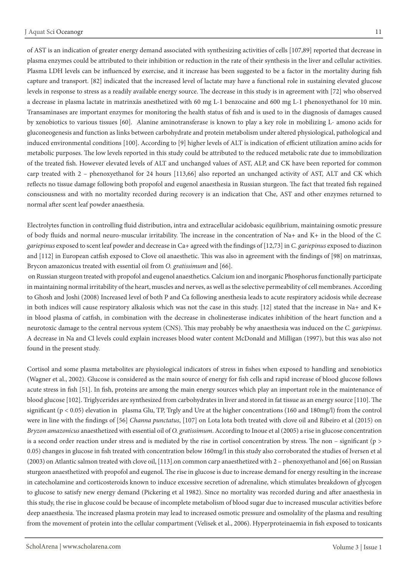of AST is an indication of greater energy demand associated with synthesizing activities of cells [107,89] reported that decrease in plasma enzymes could be attributed to their inhibition or reduction in the rate of their synthesis in the liver and cellular activities. Plasma LDH levels can be influenced by exercise, and it increase has been suggested to be a factor in the mortality during fish capture and transport. [82] indicated that the increased level of lactate may have a functional role in sustaining elevated glucose levels in response to stress as a readily available energy source. The decrease in this study is in agreement with [72] who observed a decrease in plasma lactate in matrinxãs anesthetized with 60 mg L-1 benzocaine and 600 mg L-1 phenoxyethanol for 10 min. Transaminases are important enzymes for monitoring the health status of fish and is used to in the diagnosis of damages caused by xenobiotics to various tissues [60]. Alanine aminotransferase is known to play a key role in mobilizing L- amono acids for gluconeogenesis and function as links between carbohydrate and protein metabolism under altered physiological, pathological and induced environmental conditions [100]. According to [9] higher levels of ALT is indication of efficient utilization amino acids for metabolic purposes. The low levels reported in this study could be attributed to the reduced metabolic rate due to immobilization of the treated fish. However elevated levels of ALT and unchanged values of AST, ALP, and CK have been reported for common carp treated with 2 – phenoxyethanol for 24 hours [113,66] also reported an unchanged activity of AST, ALT and CK which reflects no tissue damage following both propofol and eugenol anaesthesia in Russian sturgeon. The fact that treated fish regained consciousness and with no mortality recorded during recovery is an indication that Che, AST and other enzymes returned to normal after scent leaf powder anaesthesia.

Electrolytes function in controlling fluid distribution, intra and extracellular acidobasic equilibrium, maintaining osmotic pressure of body fluids and normal neuro-muscular irritability. The increase in the concentration of Na+ and K+ in the blood of the *C. gariepinus* exposed to scent leaf powder and decrease in Ca+ agreed with the findings of [12,73] in *C. gariepinus* exposed to diazinon and [112] in European catfish exposed to Clove oil anaesthetic. This was also in agreement with the findings of [98] on matrinxas, Brycon amazonicus treated with essential oil from *O. gratissimum* and [66].

 on Russian sturgeon treated with propofol and eugenol anaesthetics. Calcium ion and inorganic Phosphorus functionally participate in maintaining normal irritability of the heart, muscles and nerves, as well as the selective permeability of cell membranes. According to Ghosh and Joshi (2008) Increased level of both P and Ca following anesthesia leads to acute respiratory acidosis while decrease in both indices will cause respiratory alkalosis which was not the case in this study. [12] stated that the increase in Na+ and K+ in blood plasma of catfish, in combination with the decrease in cholinesterase indicates inhibition of the heart function and a neurotoxic damage to the central nervous system (CNS). This may probably be why anaesthesia was induced on the *C. gariepinus*. A decrease in Na and Cl levels could explain increases blood water content McDonald and Milligan (1997), but this was also not found in the present study.

Cortisol and some plasma metabolites are physiological indicators of stress in fishes when exposed to handling and xenobiotics (Wagner et al., 2002). Glucose is considered as the main source of energy for fish cells and rapid increase of blood glucose follows acute stress in fish [51]. In fish, proteins are among the main energy sources which play an important role in the maintenance of blood glucose [102]. Triglycerides are synthesized from carbohydrates in liver and stored in fat tissue as an energy source [110]. The significant (p < 0.05) elevation in plasma Glu, TP, Trgly and Ure at the higher concentrations (160 and 180mg/l) from the control were in line with the findings of [56] *Channa punctatus*, [107] on Lota lota both treated with clove oil and Ribeiro et al (2015) on *Bryzon amazonicus* anaesthetized with essential oil of *O. gratissimum*. According to Inoue et al (2005) a rise in glucose concentration is a second order reaction under stress and is mediated by the rise in cortisol concentration by stress. The non – significant ( $p >$ 0.05) changes in glucose in fish treated with concentration below 160mg/l in this study also corroborated the studies of Iversen et al (2003) on Atlantic salmon treated with clove oil, [113].on common carp anaesthetized with 2 – phenoxyethanol and [66] on Russian sturgeon anaesthetized with propofol and eugenol. The rise in glucose is due to increase demand for energy resulting in the increase in catecholamine and corticosteroids known to induce excessive secretion of adrenaline, which stimulates breakdown of glycogen to glucose to satisfy new energy demand (Pickering et al 1982). Since no mortality was recorded during and after anaesthesia in this study, the rise in glucose could be because of incomplete metabolism of blood sugar due to increased muscular activities before deep anaesthesia. The increased plasma protein may lead to increased osmotic pressure and osmolality of the plasma and resulting from the movement of protein into the cellular compartment (Velisek et al., 2006). Hyperproteinaemia in fish exposed to toxicants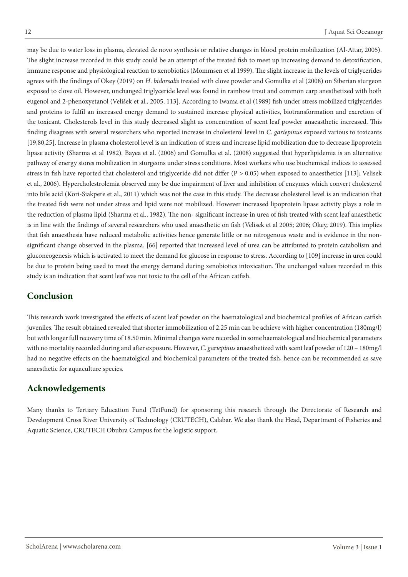may be due to water loss in plasma, elevated de novo synthesis or relative changes in blood protein mobilization (Al-Attar, 2005). The slight increase recorded in this study could be an attempt of the treated fish to meet up increasing demand to detoxification, immune response and physiological reaction to xenobiotics (Mommsen et al 1999). The slight increase in the levels of triglycerides agrees with the findings of Okey (2019) on *H*. *bidorsalis* treated with clove powder and Gomulka et al (2008) on Siberian sturgeon exposed to clove oil. However, unchanged triglyceride level was found in rainbow trout and common carp anesthetized with both eugenol and 2-phenoxyetanol (Velišek et al., 2005, 113]. According to Iwama et al (1989) fish under stress mobilized triglycerides and proteins to fulfil an increased energy demand to sustained increase physical activities, biotransformation and excretion of the toxicant. Cholesterols level in this study decreased slight as concentration of scent leaf powder anaeasthetic increased. This finding disagrees with several researchers who reported increase in cholesterol level in *C. gariepinus* exposed various to toxicants [19,80,25]. Increase in plasma cholesterol level is an indication of stress and increase lipid mobilization due to decrease lipoprotein lipase activity (Sharma et al 1982). Bayea et al. (2006) and Gomułka et al. (2008) suggested that hyperlipidemia is an alternative pathway of energy stores mobilization in sturgeons under stress conditions. Most workers who use biochemical indices to assessed stress in fish have reported that cholesterol and triglyceride did not differ  $(P > 0.05)$  when exposed to anaesthetics [113]; Velisek et al., 2006). Hypercholestrolemia observed may be due impairment of liver and inhibition of enzymes which convert cholesterol into bile acid (Kori-Siakpere et al., 2011) which was not the case in this study. The decrease cholesterol level is an indication that the treated fish were not under stress and lipid were not mobilized. However increased lipoprotein lipase activity plays a role in the reduction of plasma lipid (Sharma et al., 1982). The non- significant increase in urea of fish treated with scent leaf anaesthetic is in line with the findings of several researchers who used anaesthetic on fish (Velisek et al 2005; 2006; Okey, 2019). This implies that fish anaesthesia have reduced metabolic activities hence generate little or no nitrogenous waste and is evidence in the nonsignificant change observed in the plasma. [66] reported that increased level of urea can be attributed to protein catabolism and gluconeogenesis which is activated to meet the demand for glucose in response to stress. According to [109] increase in urea could be due to protein being used to meet the energy demand during xenobiotics intoxication. The unchanged values recorded in this study is an indication that scent leaf was not toxic to the cell of the African catfish.

# **Conclusion**

This research work investigated the effects of scent leaf powder on the haematological and biochemical profiles of African catfish juveniles. The result obtained revealed that shorter immobilization of 2.25 min can be achieve with higher concentration (180mg/l) but with longer full recovery time of 18.50 min. Minimal changes were recorded in some haematological and biochemical parameters with no mortality recorded during and after exposure. However, *C. gariepinus* anaesthetized with scent leaf powder of 120 – 180mg/l had no negative effects on the haematolgical and biochemical parameters of the treated fish, hence can be recommended as save anaesthetic for aquaculture species.

# **Acknowledgements**

Many thanks to Tertiary Education Fund (TetFund) for sponsoring this research through the Directorate of Research and Development Cross River University of Technology (CRUTECH), Calabar. We also thank the Head, Department of Fisheries and Aquatic Science, CRUTECH Obubra Campus for the logistic support.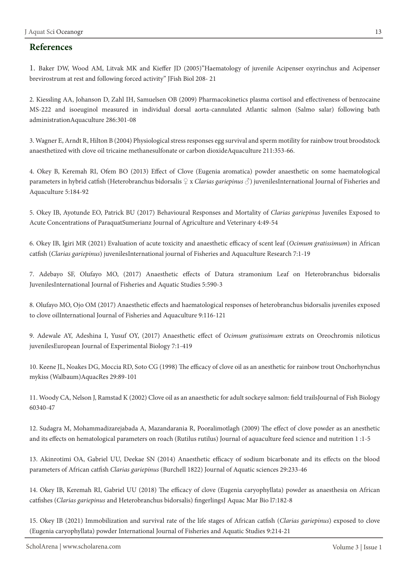#### **References**

1. Baker DW, Wood AM, Litvak MK and Kieffer JD (2005)"Haematology of juvenile Acipenser oxyrinchus and Acipenser brevirostrum at rest and following forced activity" JFish Biol 208- 21

2. Kiessling AA, Johanson D, Zahl IH, Samuelsen OB (2009) Pharmacokinetics plasma cortisol and effectiveness of benzocaine MS-222 and isoeuginol measured in individual dorsal aorta-cannulated Atlantic salmon (Salmo salar) following bath administrationAquaculture 286:301-08

3. Wagner E, Arndt R, Hilton B (2004) Physiological stress responses egg survival and sperm motility for rainbow trout broodstock anaesthetized with clove oil tricaine methanesulfonate or carbon dioxideAquaculture 211:353-66.

4. Okey B, Keremah RI, Ofem BO (2013) Effect of Clove (Eugenia aromatica) powder anaesthetic on some haematological parameters in hybrid catfish (Heterobranchus bidorsalis ♀ x *Clarias gariepinus* ♂) juvenilesInternational Journal of Fisheries and Aquaculture 5:184-92

5. Okey IB, Ayotunde EO, Patrick BU (2017) Behavioural Responses and Mortality of *Clarias gariepinus* Juveniles Exposed to Acute Concentrations of ParaquatSumerianz Journal of Agriculture and Veterinary 4:49-54

6. Okey IB, Igiri MR (2021) Evaluation of acute toxicity and anaesthetic efficacy of scent leaf (*Ocimum gratissimum*) in African catfish (*Clarias gariepinus*) juvenilesInternational journal of Fisheries and Aquaculture Research 7:1-19

7. Adebayo SF, Olufayo MO, (2017) Anaesthetic effects of Datura stramonium Leaf on Heterobranchus bidorsalis JuvenilesInternational Journal of Fisheries and Aquatic Studies 5:590-3

8. Olufayo MO, Ojo OM (2017) Anaesthetic effects and haematological responses of heterobranchus bidorsalis juveniles exposed to clove oilInternational Journal of Fisheries and Aquaculture 9:116-121

9. Adewale AY, Adeshina I, Yusuf OY, (2017) Anaesthetic effect of *Ocimum gratissimum* extrats on Oreochromis niloticus juvenilesEuropean Journal of Experimental Biology 7:1-419

10. Keene JL, Noakes DG, Moccia RD, Soto CG (1998) The efficacy of clove oil as an anesthetic for rainbow trout Onchorhynchus mykiss (Walbaum)AquacRes 29:89-101

11. Woody CA, Nelson J, Ramstad K (2002) Clove oil as an anaesthetic for adult sockeye salmon: field trailsJournal of Fish Biology 60340-47

12. Sudagra M, Mohammadizarejabada A, Mazandarania R, Pooralimotlagh (2009) The effect of clove powder as an anesthetic and its effects on hematological parameters on roach (Rutilus rutilus) Journal of aquaculture feed science and nutrition 1 :1-5

13. Akinrotimi OA, Gabriel UU, Deekae SN (2014) Anaesthetic efficacy of sodium bicarbonate and its effects on the blood parameters of African catfish *Clarias gariepinus* (Burchell 1822) Journal of Aquatic sciences 29:233-46

14. Okey IB, Keremah RI, Gabriel UU (2018) The efficacy of clove (Eugenia caryophyllata) powder as anaesthesia on African catfishes (*Clarias gariepinus* and Heterobranchus bidorsalis) fingerlingsJ Aquac Mar Bio l7:182-8

15. Okey IB (2021) Immobilization and survival rate of the life stages of African catfish (*Clarias gariepinus*) exposed to clove (Eugenia caryophyllata) powder International Journal of Fisheries and Aquatic Studies 9:214-21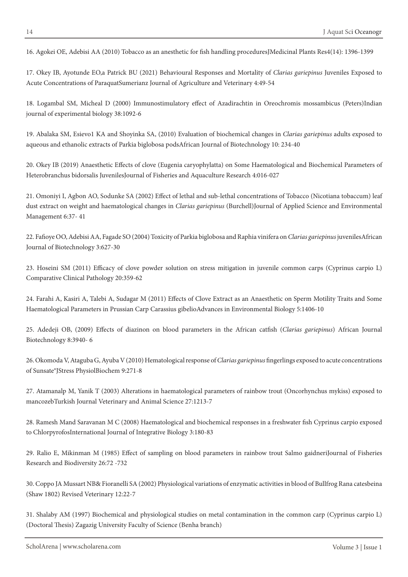16. Agokei OE, Adebisi AA (2010) Tobacco as an anesthetic for fish handling proceduresJMedicinal Plants Res4(14): 1396-1399

17. Okey IB, Ayotunde EO,a Patrick BU (2021) Behavioural Responses and Mortality of *Clarias gariepinus* Juveniles Exposed to Acute Concentrations of ParaquatSumerianz Journal of Agriculture and Veterinary 4:49-54

18. Logambal SM, Micheal D (2000) Immunostimulatory effect of Azadirachtin in Oreochromis mossambicus (Peters)Indian journal of experimental biology 38:1092-6

19. Abalaka SM, Esievo1 KA and Shoyinka SA, (2010) Evaluation of biochemical changes in *Clarias gariepinus* adults exposed to aqueous and ethanolic extracts of Parkia biglobosa podsAfrican Journal of Biotechnology 10: 234-40

20. Okey IB (2019) Anaesthetic Effects of clove (Eugenia caryophylatta) on Some Haematological and Biochemical Parameters of Heterobranchus bidorsalis JuvenilesJournal of Fisheries and Aquaculture Research 4:016-027

21. Omoniyi I, Agbon AO, Sodunke SA (2002) Effect of lethal and sub-lethal concentrations of Tobacco (Nicotiana tobaccum) leaf dust extract on weight and haematological changes in *Clarias gariepinus* (Burchell)Journal of Applied Science and Environmental Management 6:37- 41

22. Fafioye OO, Adebisi AA, Fagade SO (2004) Toxicity of Parkia biglobosa and Raphia vinifera on *Clarias gariepinus* juvenilesAfrican Journal of Biotechnology 3:627-30

23. Hoseini SM (2011) Efficacy of clove powder solution on stress mitigation in juvenile common carps (Cyprinus carpio L) Comparative Clinical Pathology 20:359-62

24. Farahi A, Kasiri A, Talebi A, Sudagar M (2011) Effects of Clove Extract as an Anaesthetic on Sperm Motility Traits and Some Haematological Parameters in Prussian Carp Carassius gibelioAdvances in Environmental Biology 5:1406-10

25. Adedeji OB, (2009) Effects of diazinon on blood parameters in the African catfish (*Clarias gariepinus*) African Journal Biotechnology 8:3940- 6

26. Okomoda V, Ataguba G, Ayuba V (2010) Hematological response of *Clarias gariepinus* fingerlings exposed to acute concentrations of Sunsate®JStress PhysiolBiochem 9:271-8

27. Atamanalp M, Yanik T (2003) Alterations in haematological parameters of rainbow trout (Oncorhynchus mykiss) exposed to mancozebTurkish Journal Veterinary and Animal Science 27:1213-7

28. Ramesh Mand Saravanan M C (2008) Haematological and biochemical responses in a freshwater fish Cyprinus carpio exposed to ChlorpyrofosInternational Journal of Integrative Biology 3:180-83

29. Ralio E, Mikinman M (1985) Effect of sampling on blood parameters in rainbow trout Salmo gaidneriJournal of Fisheries Research and Biodiversity 26:72 -732

30. Coppo JA Mussart NB& Fioranelli SA (2002) Physiological variations of enzymatic activities in blood of Bullfrog Rana catesbeina (Shaw 1802) Revised Veterinary 12:22-7

31. Shalaby AM (1997) Biochemical and physiological studies on metal contamination in the common carp (Cyprinus carpio L) (Doctoral Thesis) Zagazig University Faculty of Science (Benha branch)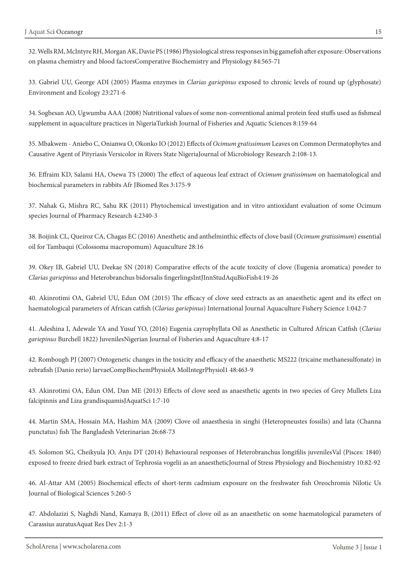32. Wells RM, McIntyre RH, Morgan AK, Davie PS (1986) Physiological stress responses in big gamefish after exposure: Observations on plasma chemistry and blood factorsComperative Biochemistry and Physiology 84:565-71

33. Gabriel UU, George ADI (2005) Plasma enzymes in *Clarias gariepinus* exposed to chronic levels of round up (glyphosate) Environment and Ecology 23:271-6

34. Sogbesan AO, Ugwumba AAA (2008) Nutritional values of some non-conventional animal protein feed stuffs used as fishmeal supplement in aquaculture practices in NigeriaTurkish Journal of Fisheries and Aquatic Sciences 8:159-64

35. Mbakwem - Aniebo C, Onianwa O, Okonko IO (2012) Effects of *Ocimum gratissimum* Leaves on Common Dermatophytes and Causative Agent of Pityriasis Versicolor in Rivers State NigeriaJournal of Microbiology Research 2:108-13.

36. Effraim KD, Salami HA, Osewa TS (2000) The effect of aqueous leaf extract of *Ocimum gratissimum* on haematological and biochemical parameters in rabbits Afr JBiomed Res 3:175-9

37. Nahak G, Mishra RC, Sahu RK (2011) Phytochemical investigation and in vitro antioxidant evaluation of some Ocimum species Journal of Pharmacy Research 4:2340-3

38. Boijink CL, Queiroz CA, Chagas EC (2016) Anesthetic and anthelminthic effects of clove basil (*Ocimum gratissimum*) essential oil for Tambaqui (Colossoma macropomum) Aquaculture 28:16

39. Okey IB, Gabriel UU, Deekae SN (2018) Comparative effects of the acute toxicity of clove (Eugenia aromatica) powder to *Clarias gariepinus* and Heterobranchus bidorsalis fingerlingsIntJInnStudAquBioFish4:19-26

40. Akinrotimi OA, Gabriel UU, Edun OM (2015) The efficacy of clove seed extracts as an anaesthetic agent and its effect on haematological parameters of African catfish (*Clarias gariepinus*) International Journal Aquaculture Fishery Science 1:042-7

41. Adeshina I, Adewale YA and Yusuf YO, (2016) Eugenia cayrophyllata Oil as Anesthetic in Cultured African Catfish (*Clarias gariepinus* Burchell 1822) JuvenilesNigerian Journal of Fisheries and Aquaculture 4:8-17

42. Rombough PJ (2007) Ontogenetic changes in the toxicity and efficacy of the anaesthetic MS222 (tricaine methanesulfonate) in zebrafish (Danio rerio) larvaeCompBiochemPhysiolA MolIntegrPhysiol1 48:463-9

43. Akinrotimi OA, Edun OM, Dan ME (2013) Effects of clove seed as anaesthetic agents in two species of Grey Mullets Liza falcipinnis and Liza grandisquamisJAquatSci 1:7-10

44. Martin SMA, Hossain MA, Hashim MA (2009) Clove oil anaesthesia in singhi (Heteropneustes fossilis) and lata (Channa punctatus) fish The Bangladesh Veterinarian 26:68-73

45. Solomon SG, Cheikyula JO, Anju DT (2014) Behavioural responses of Heterobranchus longifilis juvenilesVal (Pisces: 1840) exposed to freeze dried bark extract of Tephrosia vogelii as an anaestheticJournal of Stress Physiology and Biochemistry 10:82-92

46. Al-Attar AM (2005) Biochemical effects of short-term cadmium exposure on the freshwater fish Oreochromis Nilotic Us Journal of Biological Sciences 5:260-5

47. Abdolazizi S, Naghdi Nand, Kamaya B, (2011) Effect of clove oil as an anaesthetic on some haematological parameters of Carassius auratusAquat Res Dev 2:1-3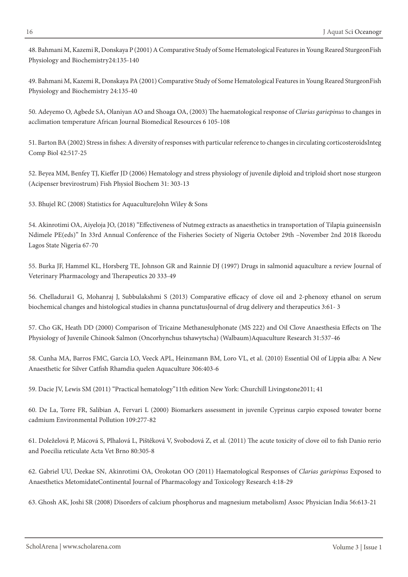48. Bahmani M, Kazemi R, Donskaya P (2001) A Comparative Study of Some Hematological Features in Young Reared SturgeonFish Physiology and Biochemistry24:135-140

49. Bahmani M, Kazemi R, Donskaya PA (2001) Comparative Study of Some Hematological Features in Young Reared SturgeonFish Physiology and Biochemistry 24:135-40

50. Adeyemo O, Agbede SA, Olaniyan AO and Shoaga OA, (2003) The haematological response of *Clarias gariepinus* to changes in acclimation temperature African Journal Biomedical Resources 6 105-108

51. Barton BA (2002) Stress in fishes: A diversity of responses with particular reference to changes in circulating corticosteroidsInteg Comp Biol 42:517-25

52. Beyea MM, Benfey TJ, Kieffer JD (2006) Hematology and stress physiology of juvenile diploid and triploid short nose sturgeon (Acipenser brevirostrum) Fish Physiol Biochem 31: 303-13

53. Bhujel RC (2008) Statistics for AquacultureJohn Wiley & Sons

54. Akinrotimi OA, Aiyeloja JO, (2018) "Effectiveness of Nutmeg extracts as anaesthetics in transportation of Tilapia guineensisIn Ndimele PE(eds)" In 33rd Annual Conference of the Fisheries Society of Nigeria October 29th –November 2nd 2018 Ikorodu Lagos State Nigeria 67-70

55. Burka JF, Hammel KL, Horsberg TE, Johnson GR and Rainnie DJ (1997) Drugs in salmonid aquaculture a review Journal of Veterinary Pharmacology and Therapeutics 20 333-49

56. Chelladurai1 G, Mohanraj J, Subbulakshmi S (2013) Comparative efficacy of clove oil and 2-phenoxy ethanol on serum biochemical changes and histological studies in channa punctatusJournal of drug delivery and therapeutics 3:61- 3

57. Cho GK, Heath DD (2000) Comparison of Tricaine Methanesulphonate (MS 222) and Oil Clove Anaesthesia Effects on The Physiology of Juvenile Chinook Salmon (Oncorhynchus tshawytscha) (Walbaum)Aquaculture Research 31:537-46

58. Cunha MA, Barros FMC, Garcia LO, Veeck APL, Heinzmann BM, Loro VL, et al. (2010) Essential Oil of Lippia alba: A New Anaesthetic for Silver Catfish Rhamdia quelen Aquaculture 306:403-6

59. Dacie JV, Lewis SM (2011) "Practical hematology"11th edition New York: Churchill Livingstone2011; 41

60. De La, Torre FR, Salibian A, Fervari L (2000) Biomarkers assessment in juvenile Cyprinus carpio exposed towater borne cadmium Environmental Pollution 109:277-82

61. Doleželová P, Mácová S, Plhalová L, Pištěková V, Svobodová Z, et al. (2011) The acute toxicity of clove oil to fish Danio rerio and Poecilia reticulate Acta Vet Brno 80:305-8

62. Gabriel UU, Deekae SN, Akinrotimi OA, Orokotan OO (2011) Haematological Responses of *Clarias gariepinus* Exposed to Anaesthetics MetomidateContinental Journal of Pharmacology and Toxicology Research 4:18-29

63. Ghosh AK, Joshi SR (2008) Disorders of calcium phosphorus and magnesium metabolismJ Assoc Physician India 56:613-21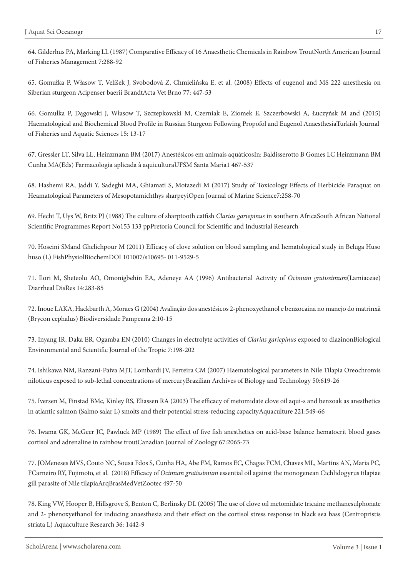64. Gilderhus PA, Marking LL (1987) Comparative Efficacy of 16 Anaesthetic Chemicals in Rainbow TroutNorth American Journal of Fisheries Management 7:288-92

65. Gomułka P, Własow T, Velíšek J, Svobodová Z, Chmielińska E, et al. (2008) Effects of eugenol and MS 222 anesthesia on Siberian sturgeon Acipenser baerii BrandtActa Vet Brno 77: 447-53

66. Gomułka P, Dągowski J, Własow T, Szczepkowski M, Czerniak E, Ziomek E, Szczerbowski A, Łuczyńsk M and (2015) Haematological and Biochemical Blood Profile in Russian Sturgeon Following Propofol and Eugenol AnaesthesiaTurkish Journal of Fisheries and Aquatic Sciences 15: 13-17

67. Gressler LT, Silva LL, Heinzmann BM (2017) Anestésicos em animais aquáticosIn: Baldisserotto B Gomes LC Heinzmann BM Cunha MA(Eds) Farmacologia aplicada à aquiculturaUFSM Santa Maria1 467-537

68. Hashemi RA, Jaddi Y, Sadeghi MA, Ghiamati S, Motazedi M (2017) Study of Toxicology Effects of Herbicide Paraquat on Heamatological Parameters of Mesopotamichthys sharpeyiOpen Journal of Marine Science7:258-70

69. Hecht T, Uys W, Britz PJ (1988) The culture of sharptooth catfish *Clarias gariepinus* in southern AfricaSouth African National Scientific Programmes Report No153 133 ppPretoria Council for Scientific and Industrial Research

70. Hoseini SMand Ghelichpour M (2011) Efficacy of clove solution on blood sampling and hematological study in Beluga Huso huso (L) FishPhysiolBiochemDOI 101007/s10695- 011-9529-5

71. Ilori M, Sheteolu AO, Omonigbehin EA, Adeneye AA (1996) Antibacterial Activity of *Ocimum gratissimum*(Lamiaceae) Diarrheal DisRes 14:283-85

72. Inoue LAKA, Hackbarth A, Moraes G (2004) Avaliação dos anestésicos 2-phenoxyethanol e benzocaina no manejo do matrinxã (Brycon cephalus) Biodiversidade Pampeana 2:10-15

73. Inyang IR, Daka ER, Ogamba EN (2010) Changes in electrolyte activities of *Clarias gariepinus* exposed to diazinonBiological Environmental and Scientific Journal of the Tropic 7:198-202

74. Ishikawa NM, Ranzani-Paiva MJT, Lombardi JV, Ferreira CM (2007) Haematological parameters in Nile Tilapia Oreochromis niloticus exposed to sub-lethal concentrations of mercuryBrazilian Archives of Biology and Technology 50:619-26

75. Iversen M, Finstad BMc, Kinley RS, Eliassen RA (2003) The efficacy of metomidate clove oil aqui-s and benzoak as anesthetics in atlantic salmon (Salmo salar L) smolts and their potential stress-reducing capacityAquaculture 221:549-66

76. Iwama GK, McGeer JC, Pawluck MP (1989) The effect of five fish anesthetics on acid-base balance hematocrit blood gases cortisol and adrenaline in rainbow troutCanadian Journal of Zoology 67:2065-73

77. JOMeneses MVS, Couto NC, Sousa Fdos S, Cunha HA, Abe FM, Ramos EC, Chagas FCM, Chaves ML, Martins AN, Maria PC, FCarneiro RY, Fujimoto, et al. (2018) Efficacy of *Ocimum gratissimum* essential oil against the monogenean Cichlidogyrus tilapiae gill parasite of Nile tilapiaArqBrasMedVetZootec 497-50

78. King VW, Hooper B, Hillsgrove S, Benton C, Berlinsky DL (2005) The use of clove oil metomidate tricaine methanesulphonate and 2- phenoxyethanol for inducing anaesthesia and their effect on the cortisol stress response in black sea bass (Centropristis striata L) Aquaculture Research 36: 1442-9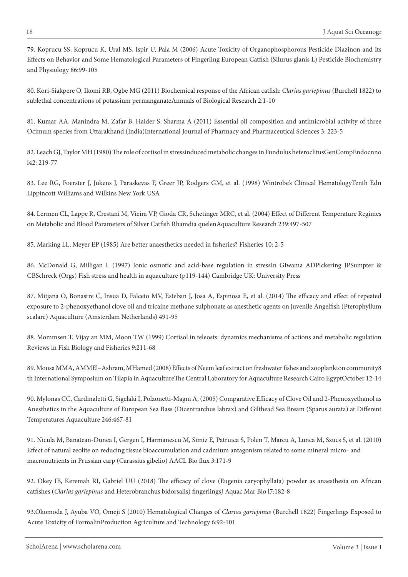79. Koprucu SS, Koprucu K, Ural MS, Ispir U, Pala M (2006) Acute Toxicity of Organophosphorous Pesticide Diazinon and Its Effects on Behavior and Some Hematological Parameters of Fingerling European Catfish (Silurus glanis L) Pesticide Biochemistry and Physiology 86:99-105

80. Kori-Siakpere O, Ikomi RB, Ogbe MG (2011) Biochemical response of the African catfish: *Clarias gariepinus* (Burchell 1822) to sublethal concentrations of potassium permanganateAnnuals of Biological Research 2:1-10

81. Kumar AA, Manindra M, Zafar B, Haider S, Sharma A (2011) Essential oil composition and antimicrobial activity of three Ocimum species from Uttarakhand (India)International Journal of Pharmacy and Pharmaceutical Sciences 3: 223-5

82. Leach GJ, Taylor MH (1980) The role of cortisol in stressinduced metabolic changes in Fundulus heteroclitusGenCompEndocnno l42: 219-77

83. Lee RG, Foerster J, Jukens J, Paraskevas F, Greer JP, Rodgers GM, et al. (1998) Wintrobe's Clinical HematologyTenth Edn Lippincott Williams and Wilkins New York USA

84. Lermen CL, Lappe R, Crestani M, Vieira VP, Gioda CR, Schetinger MRC, et al. (2004) Effect of Different Temperature Regimes on Metabolic and Blood Parameters of Silver Catfish Rhamdia quelenAquaculture Research 239:497-507

85. Marking LL, Meyer EP (1985) Are better anaesthetics needed in fisheries? Fisheries 10: 2-5

86. McDonald G, Milligan L (1997) Ionic osmotic and acid-base regulation in stressIn GIwama ADPickering JPSumpter & CBSchreck (Orgs) Fish stress and health in aquaculture (p119-144) Cambridge UK: University Press

87. Mitjana O, Bonastre C, Insua D, Falceto MV, Esteban J, Josa A, Espinosa E, et al. (2014) The efficacy and effect of repeated exposure to 2-phenoxyethanol clove oil and tricaine methane sulphonate as anesthetic agents on juvenile Angelfish (Pterophyllum scalare) Aquaculture (Amsterdam Netherlands) 491-95

88. Mommsen T, Vijay an MM, Moon TW (1999) Cortisol in teleosts: dynamics mechanisms of actions and metabolic regulation Reviews in Fish Biology and Fisheries 9:211-68

89. Mousa MMA, AMMEl–Ashram, MHamed (2008) Effects of Neem leaf extract on freshwater fishes and zooplankton community8 th International Symposium on Tilapia in AquacultureThe Central Laboratory for Aquaculture Research Cairo EgyptOctober 12-14

90. Mylonas CC, Cardinaletti G, Sigelaki I, Polzonetti-Magni A, (2005) Comparative Efficacy of Clove Oil and 2-Phenoxyethanol as Anesthetics in the Aquaculture of European Sea Bass (Dicentrarchus labrax) and Gilthead Sea Bream (Sparus aurata) at Different Temperatures Aquaculture 246:467-81

91. Nicula M, Banatean-Dunea I, Gergen I, Harmanescu M, Simiz E, Patruica S, Polen T, Marcu A, Lunca M, Szucs S, et al. (2010) Effect of natural zeolite on reducing tissue bioaccumulation and cadmium antagonism related to some mineral micro- and macronutrients in Prussian carp (Carassius gibelio) AACL Bio flux 3:171-9

92. Okey IB, Keremah RI, Gabriel UU (2018) The efficacy of clove (Eugenia caryophyllata) powder as anaesthesia on African catfishes (*Clarias gariepinus* and Heterobranchus bidorsalis) fingerlingsJ Aquac Mar Bio l7:182-8

93.Okomoda J, Ayuba VO, Omeji S (2010) Hematological Changes of *Clarias gariepinus* (Burchell 1822) Fingerlings Exposed to Acute Toxicity of FormalinProduction Agriculture and Technology 6:92-101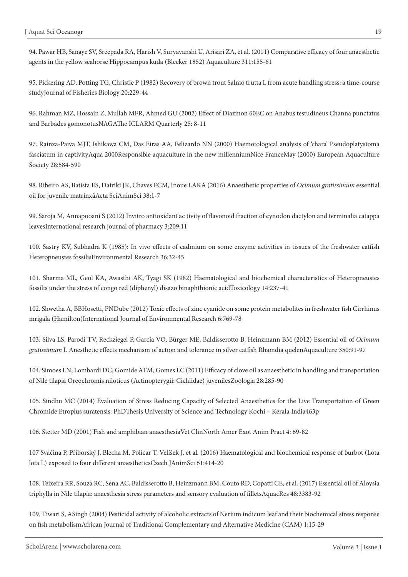94. Pawar HB, Sanaye SV, Sreepada RA, Harish V, Suryavanshi U, Arisari ZA, et al. (2011) Comparative efficacy of four anaesthetic agents in the yellow seahorse Hippocampus kuda (Bleeker 1852) Aquaculture 311:155-61

95. Pickering AD, Potting TG, Christie P (1982) Recovery of brown trout Salmo trutta L from acute handling stress: a time-course studyJournal of Fisheries Biology 20:229-44

96. Rahman MZ, Hossain Z, Mullah MFR, Ahmed GU (2002) Effect of Diazinon 60EC on Anabus testudineus Channa punctatus and Barbades gomonotusNAGAThe ICLARM Quarterly 25: 8-11

97. Rainza-Paiva MJT, Ishikawa CM, Das Eiras AA, Felizardo NN (2000) Haemotological analysis of 'chara' Pseudoplatystoma fasciatum in captivityAqua 2000Responsible aquaculture in the new millenniumNice FranceMay (2000) European Aquaculture Society 28:584-590

98. Ribeiro AS, Batista ES, Dairiki JK, Chaves FCM, Inoue LAKA (2016) Anaesthetic properties of *Ocimum gratissimum* essential oil for juvenile matrinxãActa SciAnimSci 38:1-7

99. Saroja M, Annapooani S (2012) Invitro antioxidant ac tivity of flavonoid fraction of cynodon dactylon and terminalia catappa leavesInternational research journal of pharmacy 3:209:11

100. Sastry KV, Subhadra K (1985): In vivo effects of cadmium on some enzyme activities in tissues of the freshwater catfish Heteropneustes fossilisEnvironmental Research 36:32-45

101. Sharma ML, Geol KA, Awasthi AK, Tyagi SK (1982) Haematological and biochemical characteristics of Heteropneustes fossilis under the stress of congo red (diphenyl) disazo binaphthionic acidToxicology 14:237-41

102. Shwetha A, BBHosetti, PNDube (2012) Toxic effects of zinc cyanide on some protein metabolites in freshwater fish Cirrhinus mrigala (Hamilton)International Journal of Environmental Research 6:769-78

103. Silva LS, Parodi TV, Reckziegel P, Garcia VO, Bürger ME, Baldisserotto B, Heinzmann BM (2012) Essential oil of *Ocimum gratissimum* L Anesthetic effects mechanism of action and tolerance in silver catfish Rhamdia quelenAquaculture 350:91-97

104. Simoes LN, Lombardi DC, Gomide ATM, Gomes LC (2011) Efficacy of clove oil as anaesthetic in handling and transportation of Nile tilapia Oreochromis niloticus (Actinopterygii: Cichlidae) juvenilesZoologia 28:285-90

105. Sindhu MC (2014) Evaluation of Stress Reducing Capacity of Selected Anaesthetics for the Live Transportation of Green Chromide Etroplus suratensis: PhDThesis University of Science and Technology Kochi – Kerala India463p

106. Stetter MD (2001) Fish and amphibian anaesthesiaVet ClinNorth Amer Exot Anim Pract 4: 69-82

107 Svačina P, Příborský J, Blecha M, Policar T, Velíšek J, et al. (2016) Haematological and biochemical response of burbot (Lota lota L) exposed to four different anaestheticsCzech JAnimSci 61:414-20

108. Teixeira RR, Souza RC, Sena AC, Baldisserotto B, Heinzmann BM, Couto RD, Copatti CE, et al. (2017) Essential oil of Aloysia triphylla in Nile tilapia: anaesthesia stress parameters and sensory evaluation of filletsAquacRes 48:3383-92

109. Tiwari S, ASingh (2004) Pesticidal activity of alcoholic extracts of Nerium indicum leaf and their biochemical stress response on fish metabolismAfrican Journal of Traditional Complementary and Alternative Medicine (CAM) 1:15-29